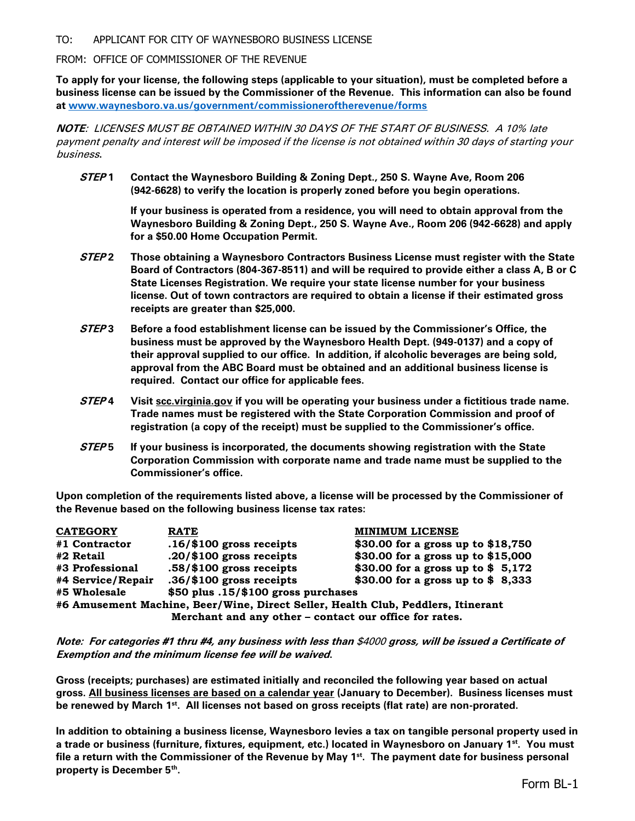TO: APPLICANT FOR CITY OF WAYNESBORO BUSINESS LICENSE

FROM: OFFICE OF COMMISSIONER OF THE REVENUE

**To apply for your license, the following steps (applicable to your situation), must be completed before a business license can be issued by the Commissioner of the Revenue. This information can also be found at [www.waynesboro.va.us/government/commissioneroftherevenue/forms](http://www.waynesboro.va.us/government/commissioneroftherevenue/forms)**

**NOTE**: LICENSES MUST BE OBTAINED WITHIN 30 DAYS OF THE START OF BUSINESS. A 10% late payment penalty and interest will be imposed if the license is not obtained within 30 days of starting your business**.**

**STEP 1 Contact the Waynesboro Building & Zoning Dept., 250 S. Wayne Ave, Room 206 (942-6628) to verify the location is properly zoned before you begin operations.**

> **If your business is operated from a residence, you will need to obtain approval from the Waynesboro Building & Zoning Dept., 250 S. Wayne Ave., Room 206 (942-6628) and apply for a \$50.00 Home Occupation Permit.**

- **STEP 2 Those obtaining a Waynesboro Contractors Business License must register with the State Board of Contractors (804-367-8511) and will be required to provide either a class A, B or C State Licenses Registration. We require your state license number for your business license. Out of town contractors are required to obtain a license if their estimated gross receipts are greater than \$25,000.**
- **STEP 3 Before a food establishment license can be issued by the Commissioner's Office, the business must be approved by the Waynesboro Health Dept. (949-0137) and a copy of their approval supplied to our office. In addition, if alcoholic beverages are being sold, approval from the ABC Board must be obtained and an additional business license is required. Contact our office for applicable fees.**
- **STEP 4 Visit scc.virginia.gov if you will be operating your business under a fictitious trade name. Trade names must be registered with the State Corporation Commission and proof of registration (a copy of the receipt) must be supplied to the Commissioner's office.**
- **STEP 5 If your business is incorporated, the documents showing registration with the State Corporation Commission with corporate name and trade name must be supplied to the Commissioner's office.**

**Upon completion of the requirements listed above, a license will be processed by the Commissioner of the Revenue based on the following business license tax rates:**

| <b>CATEGORY</b>                                                                  | <b>RATE</b>                         | <b>MINIMUM LICENSE</b>             |  |  |  |
|----------------------------------------------------------------------------------|-------------------------------------|------------------------------------|--|--|--|
| #1 Contractor                                                                    | $.16$ /\$100 gross receipts         | \$30.00 for a gross up to \$18,750 |  |  |  |
| #2 Retail                                                                        | $.20/\$100$ gross receipts.         | \$30.00 for a gross up to \$15,000 |  |  |  |
| #3 Professional                                                                  | $.58/\$100$ gross receipts          | \$30.00 for a gross up to $$5,172$ |  |  |  |
| #4 Service/Repair                                                                | $.36/\$100$ gross receipts          | \$30.00 for a gross up to \$8,333  |  |  |  |
| #5 Wholesale                                                                     | \$50 plus .15/\$100 gross purchases |                                    |  |  |  |
| #6 Amusement Machine, Beer/Wine, Direct Seller, Health Club, Peddlers, Itinerant |                                     |                                    |  |  |  |
| Merchant and any other - contact our office for rates.                           |                                     |                                    |  |  |  |

**Note: For categories #1 thru #4, any business with less than** \$4000 **gross, will be issued a Certificate of Exemption and the minimum license fee will be waived.**

**Gross (receipts; purchases) are estimated initially and reconciled the following year based on actual gross. All business licenses are based on a calendar year (January to December). Business licenses must be renewed by March 1st . All licenses not based on gross receipts (flat rate) are non-prorated.** 

**In addition to obtaining a business license, Waynesboro levies a tax on tangible personal property used in a trade or business (furniture, fixtures, equipment, etc.) located in Waynesboro on January 1st. You must file a return with the Commissioner of the Revenue by May 1st. The payment date for business personal property is December 5th .**